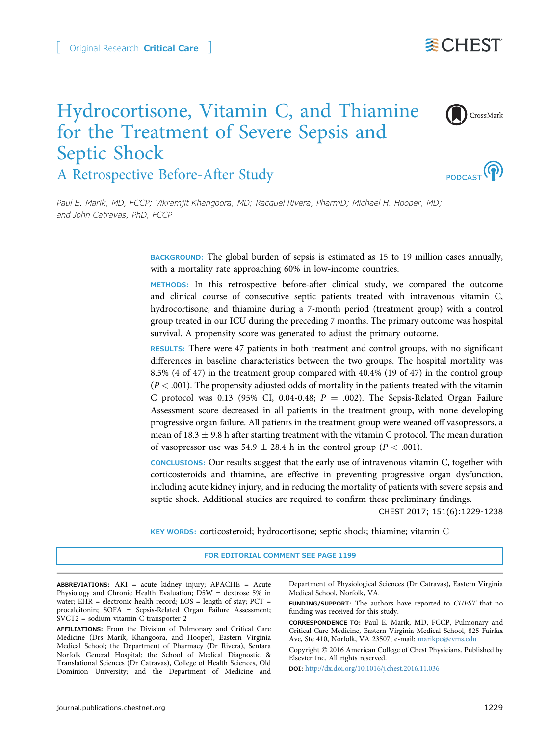# Original Research Critical Care



# Hydrocortisone, Vitamin C, and Thiamine for the Treatment of Severe Sepsis and Septic Shock A Retrospective Before-After Study



CrossMark

Paul E. Marik, MD, FCCP; Vikramjit Khangoora, MD; Racquel Rivera, PharmD; Michael H. Hooper, MD; and John Catravas, PhD, FCCP

> BACKGROUND: The global burden of sepsis is estimated as 15 to 19 million cases annually, with a mortality rate approaching 60% in low-income countries.

> METHODS: In this retrospective before-after clinical study, we compared the outcome and clinical course of consecutive septic patients treated with intravenous vitamin C, hydrocortisone, and thiamine during a 7-month period (treatment group) with a control group treated in our ICU during the preceding 7 months. The primary outcome was hospital survival. A propensity score was generated to adjust the primary outcome.

> RESULTS: There were 47 patients in both treatment and control groups, with no significant differences in baseline characteristics between the two groups. The hospital mortality was 8.5% (4 of 47) in the treatment group compared with 40.4% (19 of 47) in the control group  $(P < .001)$ . The propensity adjusted odds of mortality in the patients treated with the vitamin C protocol was 0.13 (95% CI, 0.04-0.48;  $P = .002$ ). The Sepsis-Related Organ Failure Assessment score decreased in all patients in the treatment group, with none developing progressive organ failure. All patients in the treatment group were weaned off vasopressors, a mean of 18.3  $\pm$  9.8 h after starting treatment with the vitamin C protocol. The mean duration of vasopressor use was  $54.9 \pm 28.4$  h in the control group ( $P < .001$ ).

> CONCLUSIONS: Our results suggest that the early use of intravenous vitamin C, together with corticosteroids and thiamine, are effective in preventing progressive organ dysfunction, including acute kidney injury, and in reducing the mortality of patients with severe sepsis and septic shock. Additional studies are required to confirm these preliminary findings.

> > CHEST 2017; 151(6):1229-1238

KEY WORDS: corticosteroid; hydrocortisone; septic shock; thiamine; vitamin C

#### FOR EDITORIAL COMMENT SEE PAGE 1199

ABBREVIATIONS: AKI = acute kidney injury; APACHE = Acute Physiology and Chronic Health Evaluation; D5W = dextrose 5% in water; EHR = electronic health record;  $LOS = length of stay$ ;  $PCT =$ procalcitonin; SOFA = Sepsis-Related Organ Failure Assessment; SVCT2 = sodium-vitamin C transporter-2

AFFILIATIONS: From the Division of Pulmonary and Critical Care Medicine (Drs Marik, Khangoora, and Hooper), Eastern Virginia Medical School; the Department of Pharmacy (Dr Rivera), Sentara Norfolk General Hospital; the School of Medical Diagnostic & Translational Sciences (Dr Catravas), College of Health Sciences, Old Dominion University; and the Department of Medicine and Department of Physiological Sciences (Dr Catravas), Eastern Virginia Medical School, Norfolk, VA.

FUNDING/SUPPORT: The authors have reported to CHEST that no funding was received for this study.

CORRESPONDENCE TO: Paul E. Marik, MD, FCCP, Pulmonary and Critical Care Medicine, Eastern Virginia Medical School, 825 Fairfax Ave, Ste 410, Norfolk, VA 23507; e-mail: [marikpe@evms.edu](mailto:marikpe@evms.edu)

Copyright © 2016 American College of Chest Physicians. Published by Elsevier Inc. All rights reserved.

DOI: <http://dx.doi.org/10.1016/j.chest.2016.11.036>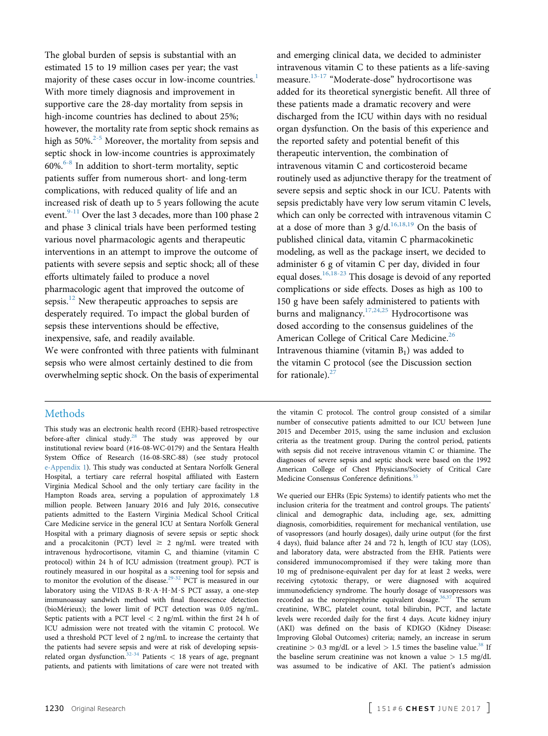The global burden of sepsis is substantial with an estimated 15 to 19 million cases per year; the vast majority of these cases occur in low-income countries.<sup>[1](#page-7-0)</sup> With more timely diagnosis and improvement in supportive care the 28-day mortality from sepsis in high-income countries has declined to about 25%; however, the mortality rate from septic shock remains as high as  $50\%$ <sup>[2-5](#page-7-0)</sup> Moreover, the mortality from sepsis and septic shock in low-income countries is approximately  $60\%$ <sup>[6-8](#page-7-0)</sup> In addition to short-term mortality, septic patients suffer from numerous short- and long-term complications, with reduced quality of life and an increased risk of death up to 5 years following the acute event.<sup>[9-11](#page-7-0)</sup> Over the last 3 decades, more than 100 phase 2 and phase 3 clinical trials have been performed testing various novel pharmacologic agents and therapeutic interventions in an attempt to improve the outcome of patients with severe sepsis and septic shock; all of these efforts ultimately failed to produce a novel pharmacologic agent that improved the outcome of sepsis.<sup>[12](#page-7-0)</sup> New therapeutic approaches to sepsis are desperately required. To impact the global burden of sepsis these interventions should be effective, inexpensive, safe, and readily available.

We were confronted with three patients with fulminant sepsis who were almost certainly destined to die from overwhelming septic shock. On the basis of experimental

## Methods

This study was an electronic health record (EHR)-based retrospective before-after clinical study.<sup>[28](#page-8-0)</sup> The study was approved by our institutional review board (#16-08-WC-0179) and the Sentara Health System Office of Research (16-08-SRC-88) (see study protocol e-Appendix 1). This study was conducted at Sentara Norfolk General Hospital, a tertiary care referral hospital affiliated with Eastern Virginia Medical School and the only tertiary care facility in the Hampton Roads area, serving a population of approximately 1.8 million people. Between January 2016 and July 2016, consecutive patients admitted to the Eastern Virginia Medical School Critical Care Medicine service in the general ICU at Sentara Norfolk General Hospital with a primary diagnosis of severe sepsis or septic shock and a procalcitonin (PCT) level  $\geq 2$  ng/mL were treated with intravenous hydrocortisone, vitamin C, and thiamine (vitamin C protocol) within 24 h of ICU admission (treatment group). PCT is routinely measured in our hospital as a screening tool for sepsis and to monitor the evolution of the disease.<sup>[29-32](#page-8-0)</sup> PCT is measured in our laboratory using the VIDAS  $B \cdot R \cdot A \cdot H \cdot M \cdot S$  PCT assay, a one-step immunoassay sandwich method with final fluorescence detection (bioMérieux); the lower limit of PCT detection was 0.05 ng/mL. Septic patients with a PCT level < 2 ng/mL within the first 24 h of ICU admission were not treated with the vitamin C protocol. We used a threshold PCT level of 2 ng/mL to increase the certainty that the patients had severe sepsis and were at risk of developing sepsis-related organ dysfunction.<sup>[32-34](#page-8-0)</sup> Patients  $<$  18 years of age, pregnant patients, and patients with limitations of care were not treated with

and emerging clinical data, we decided to administer intravenous vitamin C to these patients as a life-saving measure.[13-17](#page-7-0) "Moderate-dose" hydrocortisone was added for its theoretical synergistic benefit. All three of these patients made a dramatic recovery and were discharged from the ICU within days with no residual organ dysfunction. On the basis of this experience and the reported safety and potential benefit of this therapeutic intervention, the combination of intravenous vitamin C and corticosteroid became routinely used as adjunctive therapy for the treatment of severe sepsis and septic shock in our ICU. Patents with sepsis predictably have very low serum vitamin C levels, which can only be corrected with intravenous vitamin C at a dose of more than 3  $g/d$ .<sup>[16,18,19](#page-7-0)</sup> On the basis of published clinical data, vitamin C pharmacokinetic modeling, as well as the package insert, we decided to administer 6 g of vitamin C per day, divided in four equal doses.  $16,18-23$  This dosage is devoid of any reported complications or side effects. Doses as high as 100 to 150 g have been safely administered to patients with burns and malignancy.<sup>[17,24,25](#page-7-0)</sup> Hydrocortisone was dosed according to the consensus guidelines of the American College of Critical Care Medicine.<sup>[26](#page-8-0)</sup> Intravenous thiamine (vitamin  $B_1$ ) was added to the vitamin C protocol (see the Discussion section for rationale). $27$ 

the vitamin C protocol. The control group consisted of a similar number of consecutive patients admitted to our ICU between June 2015 and December 2015, using the same inclusion and exclusion criteria as the treatment group. During the control period, patients with sepsis did not receive intravenous vitamin C or thiamine. The diagnoses of severe sepsis and septic shock were based on the 1992 American College of Chest Physicians/Society of Critical Care Medicine Consensus Conference definitions.<sup>3</sup>

We queried our EHRs (Epic Systems) to identify patients who met the inclusion criteria for the treatment and control groups. The patients' clinical and demographic data, including age, sex, admitting diagnosis, comorbidities, requirement for mechanical ventilation, use of vasopressors (and hourly dosages), daily urine output (for the first 4 days), fluid balance after 24 and 72 h, length of ICU stay (LOS), and laboratory data, were abstracted from the EHR. Patients were considered immunocompromised if they were taking more than 10 mg of prednisone-equivalent per day for at least 2 weeks, were receiving cytotoxic therapy, or were diagnosed with acquired immunodeficiency syndrome. The hourly dosage of vasopressors was recorded as the norepinephrine equivalent dosage.<sup>[36,37](#page-8-0)</sup> The serum creatinine, WBC, platelet count, total bilirubin, PCT, and lactate levels were recorded daily for the first 4 days. Acute kidney injury (AKI) was defined on the basis of KDIGO (Kidney Disease: Improving Global Outcomes) criteria; namely, an increase in serum creatinine > 0.3 mg/dL or a level > 1.5 times the baseline value.<sup>[38](#page-8-0)</sup> If the baseline serum creatinine was not known a value  $> 1.5$  mg/dL was assumed to be indicative of AKI. The patient's admission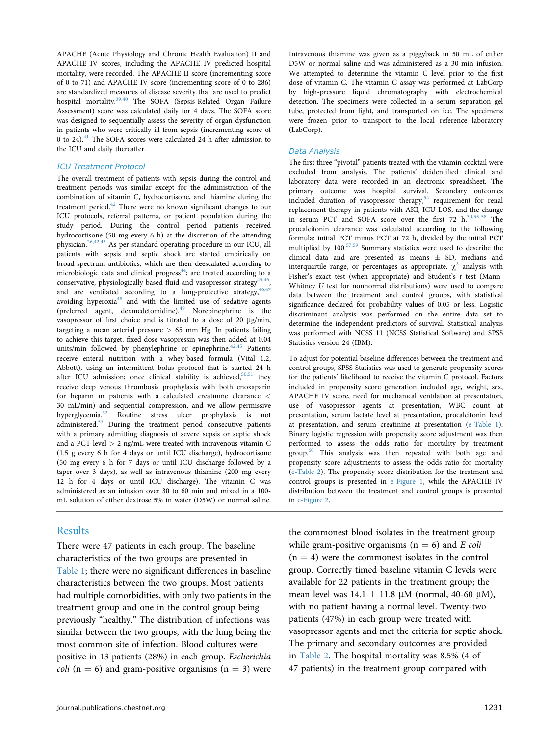APACHE (Acute Physiology and Chronic Health Evaluation) II and APACHE IV scores, including the APACHE IV predicted hospital mortality, were recorded. The APACHE II score (incrementing score of 0 to 71) and APACHE IV score (incrementing score of 0 to 286) are standardized measures of disease severity that are used to predict hospital mortality.[39,40](#page-8-0) The SOFA (Sepsis-Related Organ Failure Assessment) score was calculated daily for 4 days. The SOFA score was designed to sequentially assess the severity of organ dysfunction in patients who were critically ill from sepsis (incrementing score of 0 to 24). $41$  The SOFA scores were calculated 24 h after admission to the ICU and daily thereafter.

## ICU Treatment Protocol

The overall treatment of patients with sepsis during the control and treatment periods was similar except for the administration of the combination of vitamin C, hydrocortisone, and thiamine during the treatment period.<sup>42</sup> There were no known significant changes to our ICU protocols, referral patterns, or patient population during the study period. During the control period patients received hydrocortisone (50 mg every 6 h) at the discretion of the attending physician.[26,42,43](#page-8-0) As per standard operating procedure in our ICU, all patients with sepsis and septic shock are started empirically on broad-spectrum antibiotics, which are then deescalated according to microbiologic data and clinical progress $44$ ; are treated according to a conservative, physiologically based fluid and vasopressor strategy<sup>45,46</sup>; and are ventilated according to a lung-protective strategy,  $46,47$ avoiding hyperoxia<sup>48</sup> and with the limited use of sedative agents (preferred agent, dexmedetomidine).<sup>[49](#page-8-0)</sup> Norepinephrine is the vasopressor of first choice and is titrated to a dose of 20 µg/min, targeting a mean arterial pressure  $> 65$  mm Hg. In patients failing to achieve this target, fixed-dose vasopressin was then added at 0.04 units/min followed by phenylephrine or epinephrine. $42,45$  Patients receive enteral nutrition with a whey-based formula (Vital 1.2; Abbott), using an intermittent bolus protocol that is started 24 h after ICU admission; once clinical stability is achieved, $50,51$  they receive deep venous thrombosis prophylaxis with both enoxaparin (or heparin in patients with a calculated creatinine clearance < 30 mL/min) and sequential compression, and we allow permissive hyperglycemia.[52](#page-8-0) Routine stress ulcer prophylaxis is not administered.<sup>53</sup> During the treatment period consecutive patients with a primary admitting diagnosis of severe sepsis or septic shock and a PCT level  $> 2$  ng/mL were treated with intravenous vitamin C (1.5 g every 6 h for 4 days or until ICU discharge), hydrocortisone (50 mg every 6 h for 7 days or until ICU discharge followed by a taper over 3 days), as well as intravenous thiamine (200 mg every 12 h for 4 days or until ICU discharge). The vitamin C was administered as an infusion over 30 to 60 min and mixed in a 100 mL solution of either dextrose 5% in water (D5W) or normal saline.

## Results

There were 47 patients in each group. The baseline characteristics of the two groups are presented in [Table 1;](#page-3-0) there were no significant differences in baseline characteristics between the two groups. Most patients had multiple comorbidities, with only two patients in the treatment group and one in the control group being previously "healthy." The distribution of infections was similar between the two groups, with the lung being the most common site of infection. Blood cultures were positive in 13 patients (28%) in each group. Escherichia *coli* ( $n = 6$ ) and gram-positive organisms ( $n = 3$ ) were Intravenous thiamine was given as a piggyback in 50 mL of either D5W or normal saline and was administered as a 30-min infusion. We attempted to determine the vitamin C level prior to the first dose of vitamin C. The vitamin C assay was performed at LabCorp by high-pressure liquid chromatography with electrochemical detection. The specimens were collected in a serum separation gel tube, protected from light, and transported on ice. The specimens were frozen prior to transport to the local reference laboratory (LabCorp).

#### Data Analysis

The first three "pivotal" patients treated with the vitamin cocktail were excluded from analysis. The patients' deidentified clinical and laboratory data were recorded in an electronic spreadsheet. The primary outcome was hospital survival. Secondary outcomes included duration of vasopressor therapy,<sup>[54](#page-8-0)</sup> requirement for renal replacement therapy in patients with AKI, ICU LOS, and the change in serum PCT and SOFA score over the first 72 h.<sup>30,55-58</sup> The procalcitonin clearance was calculated according to the following formula: initial PCT minus PCT at 72 h, divided by the initial PCT multiplied by  $100^{57,59}$  $100^{57,59}$  $100^{57,59}$  Summary statistics were used to describe the clinical data and are presented as means  $\pm$  SD, medians and interquartile range, or percentages as appropriate.  $\chi^2$  analysis with Fisher's exact test (when appropriate) and Student's t test (Mann-Whitney U test for nonnormal distributions) were used to compare data between the treatment and control groups, with statistical significance declared for probability values of 0.05 or less. Logistic discriminant analysis was performed on the entire data set to determine the independent predictors of survival. Statistical analysis was performed with NCSS 11 (NCSS Statistical Software) and SPSS Statistics version 24 (IBM).

To adjust for potential baseline differences between the treatment and control groups, SPSS Statistics was used to generate propensity scores for the patients' likelihood to receive the vitamin C protocol. Factors included in propensity score generation included age, weight, sex, APACHE IV score, need for mechanical ventilation at presentation, use of vasopressor agents at presentation, WBC count at presentation, serum lactate level at presentation, procalcitonin level at presentation, and serum creatinine at presentation (e-Table 1). Binary logistic regression with propensity score adjustment was then performed to assess the odds ratio for mortality by treatment group[.60](#page-8-0) This analysis was then repeated with both age and propensity score adjustments to assess the odds ratio for mortality (e-Table 2). The propensity score distribution for the treatment and control groups is presented in e-Figure 1, while the APACHE IV distribution between the treatment and control groups is presented in e-Figure 2.

the commonest blood isolates in the treatment group while gram-positive organisms ( $n = 6$ ) and E coli  $(n = 4)$  were the commonest isolates in the control group. Correctly timed baseline vitamin C levels were available for 22 patients in the treatment group; the mean level was  $14.1 \pm 11.8 \mu$ M (normal, 40-60  $\mu$ M), with no patient having a normal level. Twenty-two patients (47%) in each group were treated with vasopressor agents and met the criteria for septic shock. The primary and secondary outcomes are provided in [Table 2](#page-4-0). The hospital mortality was 8.5% (4 of 47 patients) in the treatment group compared with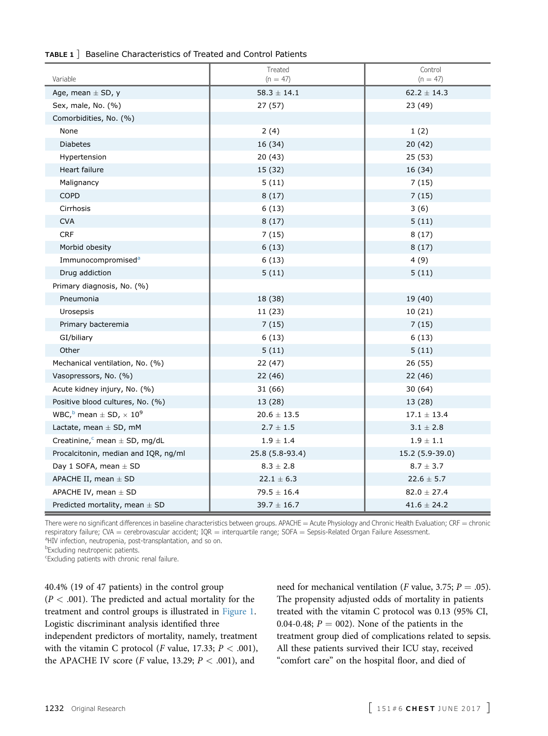## <span id="page-3-0"></span>TABLE 1 ] Baseline Characteristics of Treated and Control Patients

| Variable                                                   | Treated<br>$(n = 47)$ | Control<br>$(n = 47)$ |
|------------------------------------------------------------|-----------------------|-----------------------|
| Age, mean $\pm$ SD, y                                      | $58.3$ $\pm$ $14.1$   | $62.2 \pm 14.3$       |
| Sex, male, No. (%)                                         | 27 (57)               | 23 (49)               |
| Comorbidities, No. (%)                                     |                       |                       |
| None                                                       | 2(4)                  | 1(2)                  |
| <b>Diabetes</b>                                            | 16 (34)               | 20 (42)               |
| Hypertension                                               | 20(43)                | 25(53)                |
| Heart failure                                              | 15 (32)               | 16 (34)               |
| Malignancy                                                 | 5(11)                 | 7(15)                 |
| <b>COPD</b>                                                | 8(17)                 | 7(15)                 |
| Cirrhosis                                                  | 6(13)                 | 3(6)                  |
| <b>CVA</b>                                                 | 8(17)                 | 5(11)                 |
| <b>CRF</b>                                                 | 7(15)                 | 8(17)                 |
| Morbid obesity                                             | 6(13)                 | 8(17)                 |
| Immunocompromised <sup>a</sup>                             | 6(13)                 | 4(9)                  |
| Drug addiction                                             | 5(11)                 | 5(11)                 |
| Primary diagnosis, No. (%)                                 |                       |                       |
| Pneumonia                                                  | 18 (38)               | 19 (40)               |
| Urosepsis                                                  | 11 (23)               | 10(21)                |
| Primary bacteremia                                         | 7(15)                 | 7(15)                 |
| GI/biliary                                                 | 6(13)                 | 6(13)                 |
| Other                                                      | 5(11)                 | 5(11)                 |
| Mechanical ventilation, No. (%)                            | 22(47)                | 26 (55)               |
| Vasopressors, No. (%)                                      | 22(46)                | 22 (46)               |
| Acute kidney injury, No. (%)                               | 31(66)                | 30(64)                |
| Positive blood cultures, No. (%)                           | 13 (28)               | 13 (28)               |
| WBC, $\frac{b}{c}$ mean $\pm$ SD, $\times$ 10 <sup>9</sup> | $20.6 \pm 13.5$       | $17.1 \pm 13.4$       |
| Lactate, mean $\pm$ SD, mM                                 | $2.7 \pm 1.5$         | $3.1 \pm 2.8$         |
| Creatinine, $\epsilon$ mean $\pm$ SD, mg/dL                | $1.9 \pm 1.4$         | $1.9 \pm 1.1$         |
| Procalcitonin, median and IQR, ng/ml                       | 25.8 (5.8-93.4)       | 15.2 (5.9-39.0)       |
| Day 1 SOFA, mean $\pm$ SD                                  | $8.3 \pm 2.8$         | $8.7 \pm 3.7$         |
| APACHE II, mean $\pm$ SD                                   | $22.1 \pm 6.3$        | $22.6 \pm 5.7$        |
| APACHE IV, mean $\pm$ SD                                   | $79.5 \pm 16.4$       | $82.0 \pm 27.4$       |
| Predicted mortality, mean $\pm$ SD                         | $39.7 \pm 16.7$       | $41.6 \pm 24.2$       |

There were no significant differences in baseline characteristics between groups. APACHE = Acute Physiology and Chronic Health Evaluation; CRF = chronic respiratory failure; CVA = cerebrovascular accident;  $IQR$  = interquartile range; SOFA = Sepsis-Related Organ Failure Assessment. <sup>a</sup>HIV infection, neutropenia, post-transplantation, and so on.

**bExcluding neutropenic patients.** 

c Excluding patients with chronic renal failure.

40.4% (19 of 47 patients) in the control group  $(P < .001)$ . The predicted and actual mortality for the treatment and control groups is illustrated in [Figure 1](#page-4-0). Logistic discriminant analysis identified three independent predictors of mortality, namely, treatment with the vitamin C protocol (*F* value, 17.33;  $P < .001$ ), the APACHE IV score (*F* value, 13.29;  $P < .001$ ), and

need for mechanical ventilation (*F* value, 3.75;  $P = .05$ ). The propensity adjusted odds of mortality in patients treated with the vitamin C protocol was 0.13 (95% CI, 0.04-0.48;  $P = 002$ ). None of the patients in the treatment group died of complications related to sepsis. All these patients survived their ICU stay, received "comfort care" on the hospital floor, and died of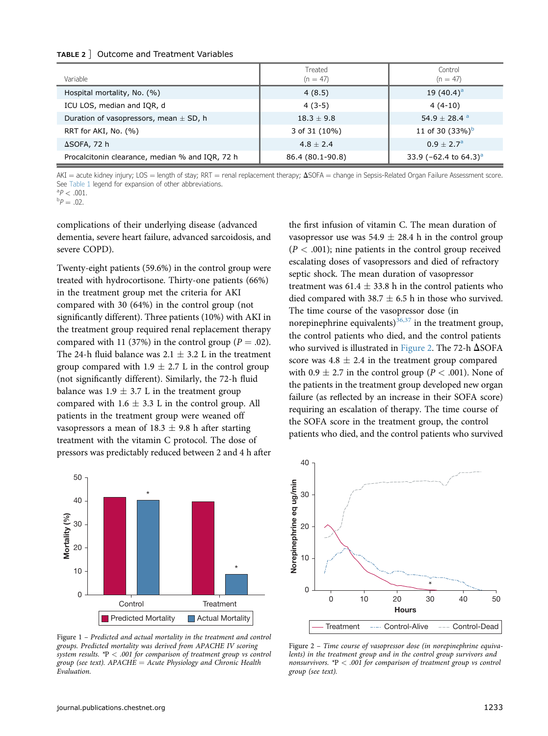## <span id="page-4-0"></span>TABLE 2 ] Outcome and Treatment Variables

| Variable                                        | Treated<br>$(n = 47)$ | Control<br>$(n = 47)$                   |
|-------------------------------------------------|-----------------------|-----------------------------------------|
| Hospital mortality, No. (%)                     | 4(8.5)                | 19 $(40.4)^a$                           |
| ICU LOS, median and IQR, d                      | $4(3-5)$              | $4(4-10)$                               |
| Duration of vasopressors, mean $\pm$ SD, h      | $18.3 \pm 9.8$        | 54.9 $\pm$ 28.4 <sup>a</sup>            |
| RRT for AKI, No. (%)                            | 3 of 31 (10%)         | 11 of 30 $(33\%)^b$                     |
| $\Delta$ SOFA, 72 h                             | $4.8 \pm 2.4$         | $0.9 + 2.7^{\circ}$                     |
| Procalcitonin clearance, median % and IQR, 72 h | 86.4 (80.1-90.8)      | 33.9 ( $-62.4$ to $64.3$ ) <sup>a</sup> |

 $AKI =$  acute kidney injury; LOS = length of stay; RRT = renal replacement therapy;  $\Delta$ SOFA = change in Sepsis-Related Organ Failure Assessment score. See [Table 1](#page-3-0) legend for expansion of other abbreviations.

 ${}^{a}P$  < .001.<br> ${}^{b}P$  = 02.  ${}^{b}P = .02$ .

complications of their underlying disease (advanced dementia, severe heart failure, advanced sarcoidosis, and severe COPD).

Twenty-eight patients (59.6%) in the control group were treated with hydrocortisone. Thirty-one patients (66%) in the treatment group met the criteria for AKI compared with 30 (64%) in the control group (not significantly different). Three patients (10%) with AKI in the treatment group required renal replacement therapy compared with 11 (37%) in the control group ( $P = .02$ ). The 24-h fluid balance was  $2.1 \pm 3.2$  L in the treatment group compared with  $1.9 \pm 2.7$  L in the control group (not significantly different). Similarly, the 72-h fluid balance was  $1.9 \pm 3.7$  L in the treatment group compared with  $1.6 \pm 3.3$  L in the control group. All patients in the treatment group were weaned off vasopressors a mean of 18.3  $\pm$  9.8 h after starting treatment with the vitamin C protocol. The dose of pressors was predictably reduced between 2 and 4 h after



Figure 1 – Predicted and actual mortality in the treatment and control groups. Predicted mortality was derived from APACHE IV scoring system results.  $*P < .001$  for comparison of treatment group vs control group (see text).  $APACHE = Acute$  Physiology and Chronic Health Evaluation.

the first infusion of vitamin C. The mean duration of vasopressor use was 54.9  $\pm$  28.4 h in the control group  $(P < .001)$ ; nine patients in the control group received escalating doses of vasopressors and died of refractory septic shock. The mean duration of vasopressor treatment was  $61.4 \pm 33.8$  h in the control patients who died compared with 38.7  $\pm$  6.5 h in those who survived. The time course of the vasopressor dose (in norepinephrine equivalents)<sup>[36,37](#page-8-0)</sup> in the treatment group, the control patients who died, and the control patients who survived is illustrated in Figure 2. The 72-h  $\Delta$ SOFA score was  $4.8 \pm 2.4$  in the treatment group compared with 0.9  $\pm$  2.7 in the control group ( $P < .001$ ). None of the patients in the treatment group developed new organ failure (as reflected by an increase in their SOFA score) requiring an escalation of therapy. The time course of the SOFA score in the treatment group, the control patients who died, and the control patients who survived



Figure 2 – Time course of vasopressor dose (in norepinephrine equivalents) in the treatment group and in the control group survivors and nonsurvivors.  $*P < .001$  for comparison of treatment group vs control group (see text).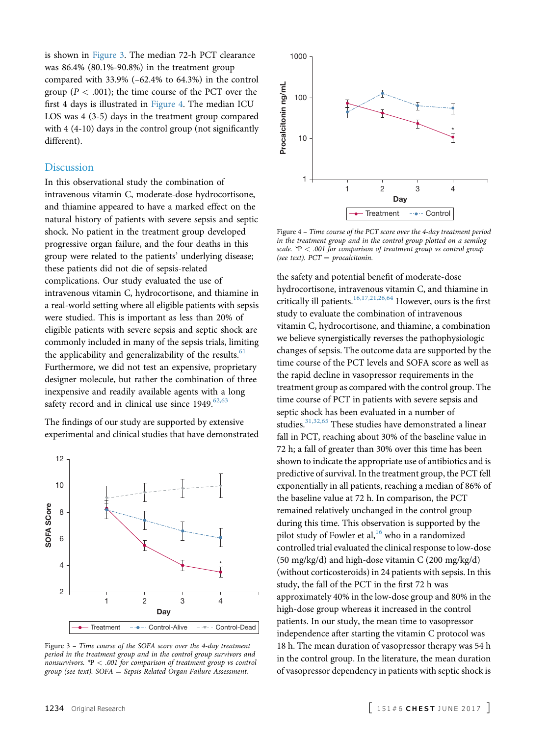is shown in Figure 3. The median 72-h PCT clearance was 86.4% (80.1%-90.8%) in the treatment group compared with 33.9% (–62.4% to 64.3%) in the control group ( $P < .001$ ); the time course of the PCT over the first 4 days is illustrated in Figure 4. The median ICU LOS was 4 (3-5) days in the treatment group compared with 4 (4-10) days in the control group (not significantly different).

# **Discussion**

In this observational study the combination of intravenous vitamin C, moderate-dose hydrocortisone, and thiamine appeared to have a marked effect on the natural history of patients with severe sepsis and septic shock. No patient in the treatment group developed progressive organ failure, and the four deaths in this group were related to the patients' underlying disease; these patients did not die of sepsis-related complications. Our study evaluated the use of intravenous vitamin C, hydrocortisone, and thiamine in a real-world setting where all eligible patients with sepsis were studied. This is important as less than 20% of eligible patients with severe sepsis and septic shock are commonly included in many of the sepsis trials, limiting the applicability and generalizability of the results. $61$ Furthermore, we did not test an expensive, proprietary designer molecule, but rather the combination of three inexpensive and readily available agents with a long safety record and in clinical use since 1949.<sup>[62,63](#page-8-0)</sup>

The findings of our study are supported by extensive experimental and clinical studies that have demonstrated



Figure 3 – Time course of the SOFA score over the 4-day treatment period in the treatment group and in the control group survivors and nonsurvivors.  $*P < .001$  for comparison of treatment group vs control group (see text).  $SOFA = Sepsis-Related Organ Failure Assessment.$ 



Figure 4 – Time course of the PCT score over the 4-day treatment period in the treatment group and in the control group plotted on a semilog scale.  $*P < .001$  for comparison of treatment group vs control group (see text).  $PCT = procalcitionin$ .

the safety and potential benefit of moderate-dose hydrocortisone, intravenous vitamin C, and thiamine in critically ill patients.[16,17,21,26,64](#page-7-0) However, ours is the first study to evaluate the combination of intravenous vitamin C, hydrocortisone, and thiamine, a combination we believe synergistically reverses the pathophysiologic changes of sepsis. The outcome data are supported by the time course of the PCT levels and SOFA score as well as the rapid decline in vasopressor requirements in the treatment group as compared with the control group. The time course of PCT in patients with severe sepsis and septic shock has been evaluated in a number of studies.<sup>[31,32,65](#page-8-0)</sup> These studies have demonstrated a linear fall in PCT, reaching about 30% of the baseline value in 72 h; a fall of greater than 30% over this time has been shown to indicate the appropriate use of antibiotics and is predictive of survival. In the treatment group, the PCT fell exponentially in all patients, reaching a median of 86% of the baseline value at 72 h. In comparison, the PCT remained relatively unchanged in the control group during this time. This observation is supported by the pilot study of Fowler et al, $^{16}$  $^{16}$  $^{16}$  who in a randomized controlled trial evaluated the clinical response to low-dose  $(50 \text{ mg/kg/d})$  and high-dose vitamin C  $(200 \text{ mg/kg/d})$ (without corticosteroids) in 24 patients with sepsis. In this study, the fall of the PCT in the first 72 h was approximately 40% in the low-dose group and 80% in the high-dose group whereas it increased in the control patients. In our study, the mean time to vasopressor independence after starting the vitamin C protocol was 18 h. The mean duration of vasopressor therapy was 54 h in the control group. In the literature, the mean duration of vasopressor dependency in patients with septic shock is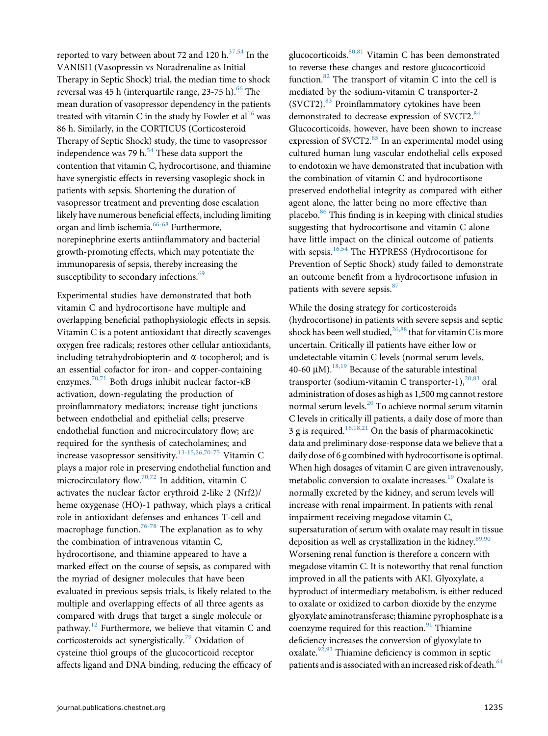reported to vary between about 72 and 120  $h^{37,54}$  $h^{37,54}$  $h^{37,54}$  In the VANISH (Vasopressin vs Noradrenaline as Initial Therapy in Septic Shock) trial, the median time to shock reversal was 45 h (interquartile range,  $23-75$  h).<sup>[66](#page-9-0)</sup> The mean duration of vasopressor dependency in the patients treated with vitamin C in the study by Fowler et al<sup>[16](#page-7-0)</sup> was 86 h. Similarly, in the CORTICUS (Corticosteroid Therapy of Septic Shock) study, the time to vasopressor independence was 79 h. $<sup>54</sup>$  $<sup>54</sup>$  $<sup>54</sup>$  These data support the</sup> contention that vitamin C, hydrocortisone, and thiamine have synergistic effects in reversing vasoplegic shock in patients with sepsis. Shortening the duration of vasopressor treatment and preventing dose escalation likely have numerous beneficial effects, including limiting organ and limb ischemia.<sup>[66-68](#page-9-0)</sup> Furthermore, norepinephrine exerts antiinflammatory and bacterial growth-promoting effects, which may potentiate the immunoparesis of sepsis, thereby increasing the susceptibility to secondary infections.<sup>[69](#page-9-0)</sup>

Experimental studies have demonstrated that both vitamin C and hydrocortisone have multiple and overlapping beneficial pathophysiologic effects in sepsis. Vitamin C is a potent antioxidant that directly scavenges oxygen free radicals; restores other cellular antioxidants, including tetrahydrobiopterin and  $\alpha$ -tocopherol; and is an essential cofactor for iron- and copper-containing enzymes.<sup>[70,71](#page-9-0)</sup> Both drugs inhibit nuclear factor- $\kappa$ B activation, down-regulating the production of proinflammatory mediators; increase tight junctions between endothelial and epithelial cells; preserve endothelial function and microcirculatory flow; are required for the synthesis of catecholamines; and increase vasopressor sensitivity.[13-15,26,70-75](#page-7-0) Vitamin C plays a major role in preserving endothelial function and microcirculatory flow.[70,72](#page-9-0) In addition, vitamin C activates the nuclear factor erythroid 2-like 2 (Nrf2)/ heme oxygenase (HO)-1 pathway, which plays a critical role in antioxidant defenses and enhances T-cell and macrophage function.<sup>[76-78](#page-9-0)</sup> The explanation as to why the combination of intravenous vitamin C, hydrocortisone, and thiamine appeared to have a marked effect on the course of sepsis, as compared with the myriad of designer molecules that have been evaluated in previous sepsis trials, is likely related to the multiple and overlapping effects of all three agents as compared with drugs that target a single molecule or pathway.<sup>[12](#page-7-0)</sup> Furthermore, we believe that vitamin C and corticosteroids act synergistically.[79](#page-9-0) Oxidation of cysteine thiol groups of the glucocorticoid receptor affects ligand and DNA binding, reducing the efficacy of glucocorticoids.[80,81](#page-9-0) Vitamin C has been demonstrated to reverse these changes and restore glucocorticoid function. $82$  The transport of vitamin C into the cell is mediated by the sodium-vitamin C transporter-2 (SVCT2).<sup>[83](#page-9-0)</sup> Proinflammatory cytokines have been demonstrated to decrease expression of SVCT2.<sup>84</sup> Glucocorticoids, however, have been shown to increase expression of SVCT2.<sup>[85](#page-9-0)</sup> In an experimental model using cultured human lung vascular endothelial cells exposed to endotoxin we have demonstrated that incubation with the combination of vitamin C and hydrocortisone preserved endothelial integrity as compared with either agent alone, the latter being no more effective than placebo. $86$  This finding is in keeping with clinical studies suggesting that hydrocortisone and vitamin C alone have little impact on the clinical outcome of patients with sepsis.<sup>[16,54](#page-7-0)</sup> The HYPRESS (Hydrocortisone for Prevention of Septic Shock) study failed to demonstrate an outcome benefit from a hydrocortisone infusion in patients with severe sepsis.<sup>[87](#page-9-0)</sup>

While the dosing strategy for corticosteroids (hydrocortisone) in patients with severe sepsis and septic shock has been well studied,  $26,88$  that for vitamin C is more uncertain. Critically ill patients have either low or undetectable vitamin C levels (normal serum levels, 40-60  $\mu$ M).<sup>18,19</sup> Because of the saturable intestinal transporter (sodium-vitamin C transporter-1), $^{20,83}$  $^{20,83}$  $^{20,83}$  oral administration of doses as high as 1,500 mg cannot restore normal serum levels.[20](#page-8-0) To achieve normal serum vitamin C levels in critically ill patients, a daily dose of more than 3 g is required.<sup>[16,18,21](#page-7-0)</sup> On the basis of pharmacokinetic data and preliminary dose-response data we believe that a daily dose of 6 g combined with hydrocortisone is optimal. When high dosages of vitamin C are given intravenously, metabolic conversion to oxalate increases.<sup>[19](#page-8-0)</sup> Oxalate is normally excreted by the kidney, and serum levels will increase with renal impairment. In patients with renal impairment receiving megadose vitamin C, supersaturation of serum with oxalate may result in tissue deposition as well as crystallization in the kidney.<sup>[89,90](#page-9-0)</sup> Worsening renal function is therefore a concern with megadose vitamin C. It is noteworthy that renal function improved in all the patients with AKI. Glyoxylate, a byproduct of intermediary metabolism, is either reduced to oxalate or oxidized to carbon dioxide by the enzyme glyoxylate aminotransferase; thiamine pyrophosphate is a coenzyme required for this reaction. $91$  Thiamine deficiency increases the conversion of glyoxylate to oxalate.<sup>[92,93](#page-9-0)</sup> Thiamine deficiency is common in septic patients and is associated with an increased risk of death.<sup>[64](#page-9-0)</sup>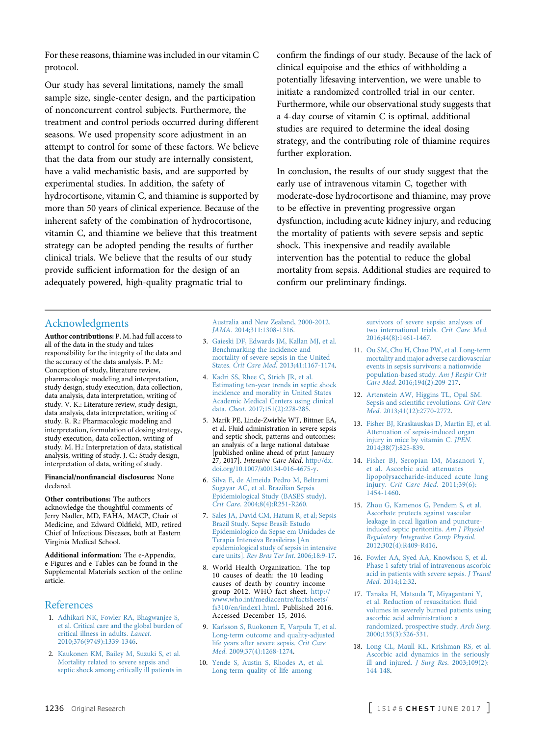<span id="page-7-0"></span>For these reasons, thiamine was included in our vitamin C protocol.

Our study has several limitations, namely the small sample size, single-center design, and the participation of nonconcurrent control subjects. Furthermore, the treatment and control periods occurred during different seasons. We used propensity score adjustment in an attempt to control for some of these factors. We believe that the data from our study are internally consistent, have a valid mechanistic basis, and are supported by experimental studies. In addition, the safety of hydrocortisone, vitamin C, and thiamine is supported by more than 50 years of clinical experience. Because of the inherent safety of the combination of hydrocortisone, vitamin C, and thiamine we believe that this treatment strategy can be adopted pending the results of further clinical trials. We believe that the results of our study provide sufficient information for the design of an adequately powered, high-quality pragmatic trial to

confirm the findings of our study. Because of the lack of clinical equipoise and the ethics of withholding a potentially lifesaving intervention, we were unable to initiate a randomized controlled trial in our center. Furthermore, while our observational study suggests that a 4-day course of vitamin C is optimal, additional studies are required to determine the ideal dosing strategy, and the contributing role of thiamine requires further exploration.

In conclusion, the results of our study suggest that the early use of intravenous vitamin C, together with moderate-dose hydrocortisone and thiamine, may prove to be effective in preventing progressive organ dysfunction, including acute kidney injury, and reducing the mortality of patients with severe sepsis and septic shock. This inexpensive and readily available intervention has the potential to reduce the global mortality from sepsis. Additional studies are required to confirm our preliminary findings.

# Acknowledgments

Author contributions: P. M. had full access to all of the data in the study and takes responsibility for the integrity of the data and the accuracy of the data analysis. P. M.: Conception of study, literature review, pharmacologic modeling and interpretation, study design, study execution, data collection, data analysis, data interpretation, writing of study. V. K.: Literature review, study design, data analysis, data interpretation, writing of study. R. R.: Pharmacologic modeling and interpretation, formulation of dosing strategy, study execution, data collection, writing of study. M. H.: Interpretation of data, statistical analysis, writing of study. J. C.: Study design, interpretation of data, writing of study.

#### Financial/nonfinancial disclosures: None declared.

Other contributions: The authors acknowledge the thoughtful comments of Jerry Nadler, MD, FAHA, MACP, Chair of Medicine, and Edward Oldfield, MD, retired Chief of Infectious Diseases, both at Eastern Virginia Medical School.

Additional information: The e-Appendix, e-Figures and e-Tables can be found in the Supplemental Materials section of the online article.

# References

- 1. [Adhikari NK, Fowler RA, Bhagwanjee S,](http://refhub.elsevier.com/S0012-3692(16)62564-3/sref1) [et al. Critical care and the global burden of](http://refhub.elsevier.com/S0012-3692(16)62564-3/sref1) [critical illness in adults.](http://refhub.elsevier.com/S0012-3692(16)62564-3/sref1) Lancet. [2010;376\(9749\):1339-1346.](http://refhub.elsevier.com/S0012-3692(16)62564-3/sref1)
- 2. [Kaukonen KM, Bailey M, Suzuki S, et al.](http://refhub.elsevier.com/S0012-3692(16)62564-3/sref2) [Mortality related to severe sepsis and](http://refhub.elsevier.com/S0012-3692(16)62564-3/sref2) [septic shock among critically ill patients in](http://refhub.elsevier.com/S0012-3692(16)62564-3/sref2)

[Australia and New Zealand, 2000-2012.](http://refhub.elsevier.com/S0012-3692(16)62564-3/sref2) JAMA[. 2014;311:1308-1316](http://refhub.elsevier.com/S0012-3692(16)62564-3/sref2).

- 3. [Gaieski DF, Edwards JM, Kallan MJ, et al.](http://refhub.elsevier.com/S0012-3692(16)62564-3/sref3) [Benchmarking the incidence and](http://refhub.elsevier.com/S0012-3692(16)62564-3/sref3) [mortality of severe sepsis in the United](http://refhub.elsevier.com/S0012-3692(16)62564-3/sref3) States. Crit Care Med[. 2013;41:1167-1174](http://refhub.elsevier.com/S0012-3692(16)62564-3/sref3).
- 4. [Kadri SS, Rhee C, Strich JR, et al.](http://refhub.elsevier.com/S0012-3692(16)62564-3/sref4) [Estimating ten-year trends in septic shock](http://refhub.elsevier.com/S0012-3692(16)62564-3/sref4) [incidence and morality in United States](http://refhub.elsevier.com/S0012-3692(16)62564-3/sref4) [Academic Medical Centers using clinical](http://refhub.elsevier.com/S0012-3692(16)62564-3/sref4) data. Chest[. 2017;151\(2\):278-285.](http://refhub.elsevier.com/S0012-3692(16)62564-3/sref4)
- 5. Marik PE, Linde-Zwirble WT, Bittner EA, et al. Fluid administration in severe sepsis and septic shock, patterns and outcomes: an analysis of a large national database [published online ahead of print January 27, 2017]. Intensive Care Med. [http://dx.](http://dx.doi.org/10.1007/s00134-016-4675-y) [doi.org/10.1007/s00134-016-4675-y.](http://dx.doi.org/10.1007/s00134-016-4675-y)
- 6. [Silva E, de Almeida Pedro M, Beltrami](http://refhub.elsevier.com/S0012-3692(16)62564-3/sref6) [Sogayar AC, et al. Brazilian Sepsis](http://refhub.elsevier.com/S0012-3692(16)62564-3/sref6) [Epidemiological Study \(BASES study\).](http://refhub.elsevier.com/S0012-3692(16)62564-3/sref6) Crit Care[. 2004;8\(4\):R251-R260.](http://refhub.elsevier.com/S0012-3692(16)62564-3/sref6)
- 7. [Sales JA, David CM, Hatum R, et al; Sepsis](http://refhub.elsevier.com/S0012-3692(16)62564-3/sref7) [Brazil Study. Sepse Brasil: Estudo](http://refhub.elsevier.com/S0012-3692(16)62564-3/sref7) [Epidemiologico da Sepse em Unidades de](http://refhub.elsevier.com/S0012-3692(16)62564-3/sref7) [Terapia Intensiva Brasileiras \[An](http://refhub.elsevier.com/S0012-3692(16)62564-3/sref7) [epidemiological study of sepsis in intensive](http://refhub.elsevier.com/S0012-3692(16)62564-3/sref7) care units]. [Rev Bras Ter Int](http://refhub.elsevier.com/S0012-3692(16)62564-3/sref7). 2006;18:9-17.
- 8. World Health Organization. The top 10 causes of death: the 10 leading causes of death by country income group 2012. WHO fact sheet. [http://](http://www.who.int/mediacentre/factsheets/fs310/en/index1.html) [www.who.int/mediacentre/factsheets/](http://www.who.int/mediacentre/factsheets/fs310/en/index1.html) [fs310/en/index1.html](http://www.who.int/mediacentre/factsheets/fs310/en/index1.html). Published 2016. Accessed December 15, 2016.
- 9. [Karlsson S, Ruokonen E, Varpula T, et al.](http://refhub.elsevier.com/S0012-3692(16)62564-3/sref9) [Long-term outcome and quality-adjusted](http://refhub.elsevier.com/S0012-3692(16)62564-3/sref9) [life years after severe sepsis.](http://refhub.elsevier.com/S0012-3692(16)62564-3/sref9) Crit Care Med[. 2009;37\(4\):1268-1274](http://refhub.elsevier.com/S0012-3692(16)62564-3/sref9).
- 10. [Yende S, Austin S, Rhodes A, et al.](http://refhub.elsevier.com/S0012-3692(16)62564-3/sref10) [Long-term quality of life among](http://refhub.elsevier.com/S0012-3692(16)62564-3/sref10)

[survivors of severe sepsis: analyses of](http://refhub.elsevier.com/S0012-3692(16)62564-3/sref10) [two international trials.](http://refhub.elsevier.com/S0012-3692(16)62564-3/sref10) Crit Care Med. [2016;44\(8\):1461-1467](http://refhub.elsevier.com/S0012-3692(16)62564-3/sref10).

- 11. [Ou SM, Chu H, Chao PW, et al. Long-term](http://refhub.elsevier.com/S0012-3692(16)62564-3/sref11) [mortality and major adverse cardiovascular](http://refhub.elsevier.com/S0012-3692(16)62564-3/sref11) [events in sepsis survivors: a nationwide](http://refhub.elsevier.com/S0012-3692(16)62564-3/sref11) [population-based study.](http://refhub.elsevier.com/S0012-3692(16)62564-3/sref11) Am J Respir Crit Care Med[. 2016;194\(2\):209-217](http://refhub.elsevier.com/S0012-3692(16)62564-3/sref11).
- 12. [Artenstein AW, Higgins TL, Opal SM.](http://refhub.elsevier.com/S0012-3692(16)62564-3/sref12) [Sepsis and scienti](http://refhub.elsevier.com/S0012-3692(16)62564-3/sref12)fic revolutions. Crit Care Med[. 2013;41\(12\):2770-2772.](http://refhub.elsevier.com/S0012-3692(16)62564-3/sref12)
- 13. [Fisher BJ, Kraskauskas D, Martin EJ, et al.](http://refhub.elsevier.com/S0012-3692(16)62564-3/sref13) [Attenuation of sepsis-induced organ](http://refhub.elsevier.com/S0012-3692(16)62564-3/sref13) [injury in mice by vitamin C.](http://refhub.elsevier.com/S0012-3692(16)62564-3/sref13) JPEN. [2014;38\(7\):825-839.](http://refhub.elsevier.com/S0012-3692(16)62564-3/sref13)
- 14. [Fisher BJ, Seropian IM, Masanori Y,](http://refhub.elsevier.com/S0012-3692(16)62564-3/sref14) [et al. Ascorbic acid attenuates](http://refhub.elsevier.com/S0012-3692(16)62564-3/sref14) [lipopolysaccharide-induced acute lung](http://refhub.elsevier.com/S0012-3692(16)62564-3/sref14) injury. [Crit Care Med](http://refhub.elsevier.com/S0012-3692(16)62564-3/sref14). 2011;39(6): [1454-1460](http://refhub.elsevier.com/S0012-3692(16)62564-3/sref14).
- 15. [Zhou G, Kamenos G, Pendem S, et al.](http://refhub.elsevier.com/S0012-3692(16)62564-3/sref15) [Ascorbate protects against vascular](http://refhub.elsevier.com/S0012-3692(16)62564-3/sref15) [leakage in cecal ligation and puncture](http://refhub.elsevier.com/S0012-3692(16)62564-3/sref15)[induced septic peritonitis.](http://refhub.elsevier.com/S0012-3692(16)62564-3/sref15) Am J Physiol [Regulatory Integrative Comp Physiol](http://refhub.elsevier.com/S0012-3692(16)62564-3/sref15). [2012;302\(4\):R409-R416](http://refhub.elsevier.com/S0012-3692(16)62564-3/sref15).
- 16. [Fowler AA, Syed AA, Knowlson S, et al.](http://refhub.elsevier.com/S0012-3692(16)62564-3/sref16) [Phase 1 safety trial of intravenous ascorbic](http://refhub.elsevier.com/S0012-3692(16)62564-3/sref16) [acid in patients with severe sepsis.](http://refhub.elsevier.com/S0012-3692(16)62564-3/sref16) J Transl Med[. 2014;12:32](http://refhub.elsevier.com/S0012-3692(16)62564-3/sref16).
- 17. [Tanaka H, Matsuda T, Miyagantani Y,](http://refhub.elsevier.com/S0012-3692(16)62564-3/sref17) [et al. Reduction of resuscitation](http://refhub.elsevier.com/S0012-3692(16)62564-3/sref17) fluid [volumes in severely burned patients using](http://refhub.elsevier.com/S0012-3692(16)62564-3/sref17) [ascorbic acid administration: a](http://refhub.elsevier.com/S0012-3692(16)62564-3/sref17) [randomized, prospective study.](http://refhub.elsevier.com/S0012-3692(16)62564-3/sref17) Arch Surg. [2000;135\(3\):326-331.](http://refhub.elsevier.com/S0012-3692(16)62564-3/sref17)
- 18. [Long CL, Maull KL, Krishman RS, et al.](http://refhub.elsevier.com/S0012-3692(16)62564-3/sref18) [Ascorbic acid dynamics in the seriously](http://refhub.elsevier.com/S0012-3692(16)62564-3/sref18) [ill and injured.](http://refhub.elsevier.com/S0012-3692(16)62564-3/sref18) *J Surg Res.* 2003;109(2): [144-148](http://refhub.elsevier.com/S0012-3692(16)62564-3/sref18).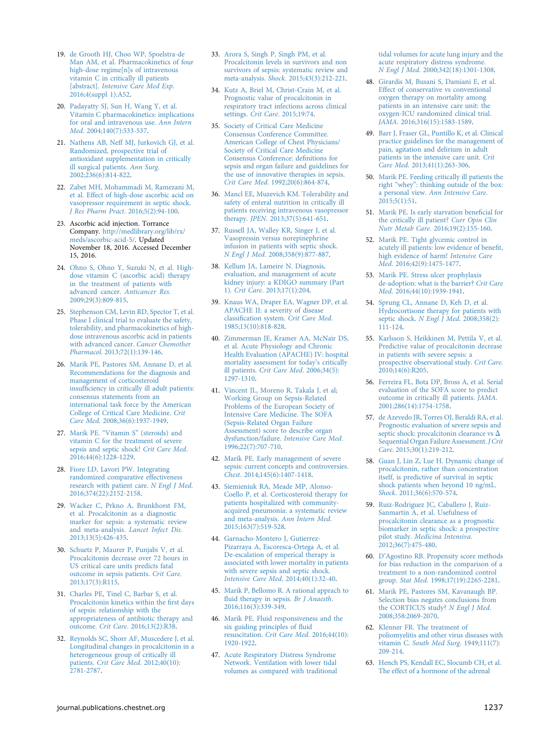- <span id="page-8-0"></span>19. [de Grooth HJ, Choo WP, Spoelstra-de](http://refhub.elsevier.com/S0012-3692(16)62564-3/sref19) [Man AM, et al. Pharmacokinetics of four](http://refhub.elsevier.com/S0012-3692(16)62564-3/sref19) [high-dose regime\[n\]s of intravenous](http://refhub.elsevier.com/S0012-3692(16)62564-3/sref19) [vitamin C in critically ill patients](http://refhub.elsevier.com/S0012-3692(16)62564-3/sref19) [abstract]. [Intensive Care Med Exp](http://refhub.elsevier.com/S0012-3692(16)62564-3/sref19). [2016;4\(suppl 1\):A52](http://refhub.elsevier.com/S0012-3692(16)62564-3/sref19).
- 20. [Padayatty SJ, Sun H, Wang Y, et al.](http://refhub.elsevier.com/S0012-3692(16)62564-3/sref20) [Vitamin C pharmacokinetics: implications](http://refhub.elsevier.com/S0012-3692(16)62564-3/sref20) [for oral and intravenous use.](http://refhub.elsevier.com/S0012-3692(16)62564-3/sref20) Ann Intern Med[. 2004;140\(7\):533-537.](http://refhub.elsevier.com/S0012-3692(16)62564-3/sref20)
- 21. [Nathens AB, Neff MJ, Jurkovich GJ, et al.](http://refhub.elsevier.com/S0012-3692(16)62564-3/sref21) [Randomized, prospective trial of](http://refhub.elsevier.com/S0012-3692(16)62564-3/sref21) [antioxidant supplementation in critically](http://refhub.elsevier.com/S0012-3692(16)62564-3/sref21) [ill surgical patients.](http://refhub.elsevier.com/S0012-3692(16)62564-3/sref21) Ann Surg. [2002;236\(6\):814-822.](http://refhub.elsevier.com/S0012-3692(16)62564-3/sref21)
- 22. [Zabet MH, Mohammadi M, Ramezani M,](http://refhub.elsevier.com/S0012-3692(16)62564-3/sref22) [et al. Effect of high-dose ascorbic acid on](http://refhub.elsevier.com/S0012-3692(16)62564-3/sref22) [vasopressor requirement in septic shock.](http://refhub.elsevier.com/S0012-3692(16)62564-3/sref22) [J Res Pharm Pract](http://refhub.elsevier.com/S0012-3692(16)62564-3/sref22). 2016;5(2):94-100.
- 23. Ascorbic acid injection. Torrance Company. [http://medlibrary.org/lib/rx/](http://medlibrary.org/lib/rx/meds/ascorbic-acid-5/) [meds/ascorbic-acid-5/.](http://medlibrary.org/lib/rx/meds/ascorbic-acid-5/) Updated November 18, 2016. Accessed December 15, 2016.
- 24. [Ohno S, Ohno Y, Suzuki N, et al. High](http://refhub.elsevier.com/S0012-3692(16)62564-3/sref24)[dose vitamin C \(ascorbic acid\) therapy](http://refhub.elsevier.com/S0012-3692(16)62564-3/sref24) [in the treatment of patients with](http://refhub.elsevier.com/S0012-3692(16)62564-3/sref24) [advanced cancer.](http://refhub.elsevier.com/S0012-3692(16)62564-3/sref24) Anticancer Res. [2009;29\(3\):809-815.](http://refhub.elsevier.com/S0012-3692(16)62564-3/sref24)
- 25. [Stephenson CM, Levin RD, Spector T, et al.](http://refhub.elsevier.com/S0012-3692(16)62564-3/sref25) [Phase I clinical trial to evaluate the safety,](http://refhub.elsevier.com/S0012-3692(16)62564-3/sref25) [tolerability, and pharmacokinetics of high](http://refhub.elsevier.com/S0012-3692(16)62564-3/sref25)[dose intravenous ascorbic acid in patients](http://refhub.elsevier.com/S0012-3692(16)62564-3/sref25) [with advanced cancer.](http://refhub.elsevier.com/S0012-3692(16)62564-3/sref25) Cancer Chemother Pharmacol[. 2013;72\(1\):139-146.](http://refhub.elsevier.com/S0012-3692(16)62564-3/sref25)
- 26. [Marik PE, Pastores SM, Annane D, et al.](http://refhub.elsevier.com/S0012-3692(16)62564-3/sref26) [Recommendations for the diagnosis and](http://refhub.elsevier.com/S0012-3692(16)62564-3/sref26) [management of corticosteroid](http://refhub.elsevier.com/S0012-3692(16)62564-3/sref26) insuffi[ciency in critically ill adult patients:](http://refhub.elsevier.com/S0012-3692(16)62564-3/sref26) [consensus statements from an](http://refhub.elsevier.com/S0012-3692(16)62564-3/sref26) [international task force by the American](http://refhub.elsevier.com/S0012-3692(16)62564-3/sref26) [College of Critical Care Medicine.](http://refhub.elsevier.com/S0012-3692(16)62564-3/sref26) Crit Care Med[. 2008;36\(6\):1937-1949](http://refhub.elsevier.com/S0012-3692(16)62564-3/sref26).
- 27. Marik PE. "Vitamin S" [\(steroids\) and](http://refhub.elsevier.com/S0012-3692(16)62564-3/sref27) [vitamin C for the treatment of severe](http://refhub.elsevier.com/S0012-3692(16)62564-3/sref27) [sepsis and septic shock!](http://refhub.elsevier.com/S0012-3692(16)62564-3/sref27) Crit Care Med. [2016;44\(6\):1228-1229](http://refhub.elsevier.com/S0012-3692(16)62564-3/sref27).
- 28. [Fiore LD, Lavori PW. Integrating](http://refhub.elsevier.com/S0012-3692(16)62564-3/sref28) [randomized comparative effectiveness](http://refhub.elsevier.com/S0012-3692(16)62564-3/sref28) [research with patient care.](http://refhub.elsevier.com/S0012-3692(16)62564-3/sref28) N Engl J Med. [2016;374\(22\):2152-2158.](http://refhub.elsevier.com/S0012-3692(16)62564-3/sref28)
- 29. [Wacker C, Prkno A, Brunkhorst FM,](http://refhub.elsevier.com/S0012-3692(16)62564-3/sref29) [et al. Procalcitonin as a diagnostic](http://refhub.elsevier.com/S0012-3692(16)62564-3/sref29) [marker for sepsis: a systematic review](http://refhub.elsevier.com/S0012-3692(16)62564-3/sref29) [and meta-analysis.](http://refhub.elsevier.com/S0012-3692(16)62564-3/sref29) Lancet Infect Dis. [2013;13\(5\):426-435.](http://refhub.elsevier.com/S0012-3692(16)62564-3/sref29)
- 30. [Schuetz P, Maurer P, Punjabi V, et al.](http://refhub.elsevier.com/S0012-3692(16)62564-3/sref30) [Procalcitonin decrease over 72 hours in](http://refhub.elsevier.com/S0012-3692(16)62564-3/sref30) [US critical care units predicts fatal](http://refhub.elsevier.com/S0012-3692(16)62564-3/sref30) [outcome in sepsis patients.](http://refhub.elsevier.com/S0012-3692(16)62564-3/sref30) Crit Care. [2013;17\(3\):R115.](http://refhub.elsevier.com/S0012-3692(16)62564-3/sref30)
- 31. [Charles PE, Tinel C, Barbar S, et al.](http://refhub.elsevier.com/S0012-3692(16)62564-3/sref31) [Procalcitonin kinetics within the](http://refhub.elsevier.com/S0012-3692(16)62564-3/sref31) first days [of sepsis: relationship with the](http://refhub.elsevier.com/S0012-3692(16)62564-3/sref31) [appropriateness of antibiotic therapy and](http://refhub.elsevier.com/S0012-3692(16)62564-3/sref31) outcome. Crit Care[. 2016;13\(2\):R38.](http://refhub.elsevier.com/S0012-3692(16)62564-3/sref31)
- 32. [Reynolds SC, Shorr AF, Muscedere J, et al.](http://refhub.elsevier.com/S0012-3692(16)62564-3/sref32) [Longitudinal changes in procalcitonin in a](http://refhub.elsevier.com/S0012-3692(16)62564-3/sref32) [heterogeneous group of critically ill](http://refhub.elsevier.com/S0012-3692(16)62564-3/sref32) patients. [Crit Care Med](http://refhub.elsevier.com/S0012-3692(16)62564-3/sref32). 2012;40(10): [2781-2787.](http://refhub.elsevier.com/S0012-3692(16)62564-3/sref32)
- 33. [Arora S, Singh P, Singh PM, et al.](http://refhub.elsevier.com/S0012-3692(16)62564-3/sref33) [Procalcitonin levels in survivors and non](http://refhub.elsevier.com/S0012-3692(16)62564-3/sref33) [survivors of sepsis: systematic review and](http://refhub.elsevier.com/S0012-3692(16)62564-3/sref33) meta-analysis. Shock[. 2015;43\(3\):212-221](http://refhub.elsevier.com/S0012-3692(16)62564-3/sref33).
- 34. [Kutz A, Briel M, Christ-Crain M, et al.](http://refhub.elsevier.com/S0012-3692(16)62564-3/sref34) [Prognostic value of procalcitonin in](http://refhub.elsevier.com/S0012-3692(16)62564-3/sref34) [respiratory tract infections across clinical](http://refhub.elsevier.com/S0012-3692(16)62564-3/sref34) settings. Crit Care[. 2015;19:74.](http://refhub.elsevier.com/S0012-3692(16)62564-3/sref34)
- 35. [Society of Critical Care Medicine](http://refhub.elsevier.com/S0012-3692(16)62564-3/sref35) [Consensus Conference Committee.](http://refhub.elsevier.com/S0012-3692(16)62564-3/sref35) [American College of Chest Physicians/](http://refhub.elsevier.com/S0012-3692(16)62564-3/sref35) [Society of Critical Care Medicine](http://refhub.elsevier.com/S0012-3692(16)62564-3/sref35) [Consensus Conference: de](http://refhub.elsevier.com/S0012-3692(16)62564-3/sref35)finitions for [sepsis and organ failure and guidelines for](http://refhub.elsevier.com/S0012-3692(16)62564-3/sref35) [the use of innovative therapies in sepsis.](http://refhub.elsevier.com/S0012-3692(16)62564-3/sref35) Crit Care Med[. 1992;20\(6\):864-874.](http://refhub.elsevier.com/S0012-3692(16)62564-3/sref35)
- 36. [Mancl EE, Muzevich KM. Tolerability and](http://refhub.elsevier.com/S0012-3692(16)62564-3/sref36) [safety of enteral nutrition in critically ill](http://refhub.elsevier.com/S0012-3692(16)62564-3/sref36) [patients receiving intravenous vasopressor](http://refhub.elsevier.com/S0012-3692(16)62564-3/sref36) therapy. JPEN[. 2013;37\(5\):641-651.](http://refhub.elsevier.com/S0012-3692(16)62564-3/sref36)
- 37. [Russell JA, Walley KR, Singer J, et al.](http://refhub.elsevier.com/S0012-3692(16)62564-3/sref37) [Vasopressin versus norepinephrine](http://refhub.elsevier.com/S0012-3692(16)62564-3/sref37) [infusion in patients with septic shock.](http://refhub.elsevier.com/S0012-3692(16)62564-3/sref37) N Engl J Med[. 2008;358\(9\):877-887.](http://refhub.elsevier.com/S0012-3692(16)62564-3/sref37)
- 38. [Kellum JA, Lameire N. Diagnosis,](http://refhub.elsevier.com/S0012-3692(16)62564-3/sref38) [evaluation, and management of acute](http://refhub.elsevier.com/S0012-3692(16)62564-3/sref38) [kidney injury: a KDIGO summary \(Part](http://refhub.elsevier.com/S0012-3692(16)62564-3/sref38) 1). Crit Care[. 2013;17\(1\):204](http://refhub.elsevier.com/S0012-3692(16)62564-3/sref38).
- 39. [Knaus WA, Draper EA, Wagner DP, et al.](http://refhub.elsevier.com/S0012-3692(16)62564-3/sref39) [APACHE II: a severity of disease](http://refhub.elsevier.com/S0012-3692(16)62564-3/sref39) classification system. [Crit Care Med](http://refhub.elsevier.com/S0012-3692(16)62564-3/sref39). [1985;13\(10\):818-828.](http://refhub.elsevier.com/S0012-3692(16)62564-3/sref39)
- 40. [Zimmerman JE, Kramer AA, McNair DS,](http://refhub.elsevier.com/S0012-3692(16)62564-3/sref40) [et al. Acute Physiology and Chronic](http://refhub.elsevier.com/S0012-3692(16)62564-3/sref40) [Health Evaluation \(APACHE\) IV: hospital](http://refhub.elsevier.com/S0012-3692(16)62564-3/sref40) [mortality assessment for today](http://refhub.elsevier.com/S0012-3692(16)62564-3/sref40)'s critically ill patients. [Crit Care Med](http://refhub.elsevier.com/S0012-3692(16)62564-3/sref40). 2006;34(5): [1297-1310](http://refhub.elsevier.com/S0012-3692(16)62564-3/sref40).
- 41. [Vincent JL, Moreno R, Takala J, et al;](http://refhub.elsevier.com/S0012-3692(16)62564-3/sref41) [Working Group on Sepsis-Related](http://refhub.elsevier.com/S0012-3692(16)62564-3/sref41) [Problems of the European Society of](http://refhub.elsevier.com/S0012-3692(16)62564-3/sref41) [Intensive Care Medicine. The SOFA](http://refhub.elsevier.com/S0012-3692(16)62564-3/sref41) [\(Sepsis-Related Organ Failure](http://refhub.elsevier.com/S0012-3692(16)62564-3/sref41) [Assessment\) score to describe organ](http://refhub.elsevier.com/S0012-3692(16)62564-3/sref41) dysfunction/failure. [Intensive Care Med](http://refhub.elsevier.com/S0012-3692(16)62564-3/sref41). [1996;22\(7\):707-710](http://refhub.elsevier.com/S0012-3692(16)62564-3/sref41).
- 42. [Marik PE. Early management of severe](http://refhub.elsevier.com/S0012-3692(16)62564-3/sref42) [sepsis: current concepts and controversies.](http://refhub.elsevier.com/S0012-3692(16)62564-3/sref42) Chest[. 2014;145\(6\):1407-1418](http://refhub.elsevier.com/S0012-3692(16)62564-3/sref42).
- 43. [Siemieniuk RA, Meade MP, Alonso-](http://refhub.elsevier.com/S0012-3692(16)62564-3/sref43)[Coello P, et al. Corticosteroid therapy for](http://refhub.elsevier.com/S0012-3692(16)62564-3/sref43) [patients hospitalized with community](http://refhub.elsevier.com/S0012-3692(16)62564-3/sref43)[acquired pneumonia: a systematic review](http://refhub.elsevier.com/S0012-3692(16)62564-3/sref43) [and meta-analysis.](http://refhub.elsevier.com/S0012-3692(16)62564-3/sref43) Ann Intern Med. [2015;163\(7\):519-528.](http://refhub.elsevier.com/S0012-3692(16)62564-3/sref43)
- 44. [Garnacho-Montero J, Gutierrez-](http://refhub.elsevier.com/S0012-3692(16)62564-3/sref44)[Pizarraya A, Escoresca-Ortega A, et al.](http://refhub.elsevier.com/S0012-3692(16)62564-3/sref44) [De-escalation of emperical therapy is](http://refhub.elsevier.com/S0012-3692(16)62564-3/sref44) [associated with lower mortality in patients](http://refhub.elsevier.com/S0012-3692(16)62564-3/sref44) [with severe sepsis and septic shock.](http://refhub.elsevier.com/S0012-3692(16)62564-3/sref44) [Intensive Care Med](http://refhub.elsevier.com/S0012-3692(16)62564-3/sref44). 2014;40(1):32-40.
- 45. [Marik P, Bellomo R. A rational apprach to](http://refhub.elsevier.com/S0012-3692(16)62564-3/sref45) fl[uid therapy in sepsis.](http://refhub.elsevier.com/S0012-3692(16)62564-3/sref45) Br J Anaesth. [2016;116\(3\):339-349.](http://refhub.elsevier.com/S0012-3692(16)62564-3/sref45)
- 46. [Marik PE. Fluid responsiveness and the](http://refhub.elsevier.com/S0012-3692(16)62564-3/sref46) [six guiding principles of](http://refhub.elsevier.com/S0012-3692(16)62564-3/sref46) fluid resuscitation. [Crit Care Med](http://refhub.elsevier.com/S0012-3692(16)62564-3/sref46). 2016;44(10): [1920-1922](http://refhub.elsevier.com/S0012-3692(16)62564-3/sref46).
- 47. [Acute Respiratory Distress Syndrome](http://refhub.elsevier.com/S0012-3692(16)62564-3/sref47) [Network. Ventilation with lower tidal](http://refhub.elsevier.com/S0012-3692(16)62564-3/sref47) [volumes as compared with traditional](http://refhub.elsevier.com/S0012-3692(16)62564-3/sref47)

[tidal volumes for acute lung injury and the](http://refhub.elsevier.com/S0012-3692(16)62564-3/sref47) [acute respiratory distress syndrome.](http://refhub.elsevier.com/S0012-3692(16)62564-3/sref47) N Engl J Med[. 2000;342\(18\):1301-1308](http://refhub.elsevier.com/S0012-3692(16)62564-3/sref47).

- 48. [Girardis M, Busani S, Damiani E, et al.](http://refhub.elsevier.com/S0012-3692(16)62564-3/sref48) [Effect of conservative vs conventional](http://refhub.elsevier.com/S0012-3692(16)62564-3/sref48) [oxygen therapy on mortality among](http://refhub.elsevier.com/S0012-3692(16)62564-3/sref48) [patients in an intensive care unit: the](http://refhub.elsevier.com/S0012-3692(16)62564-3/sref48) [oxygen-ICU randomized clinical trial.](http://refhub.elsevier.com/S0012-3692(16)62564-3/sref48) JAMA[. 2016;316\(15\):1583-1589](http://refhub.elsevier.com/S0012-3692(16)62564-3/sref48).
- 49. [Barr J, Fraser GL, Puntillo K, et al. Clinical](http://refhub.elsevier.com/S0012-3692(16)62564-3/sref49) [practice guidelines for the management of](http://refhub.elsevier.com/S0012-3692(16)62564-3/sref49) [pain, agitation and delirium in adult](http://refhub.elsevier.com/S0012-3692(16)62564-3/sref49) [patients in the intensive care unit.](http://refhub.elsevier.com/S0012-3692(16)62564-3/sref49) Crit Care Med[. 2013;41\(1\):263-306.](http://refhub.elsevier.com/S0012-3692(16)62564-3/sref49)
- 50. [Marik PE. Feeding critically ill patients the](http://refhub.elsevier.com/S0012-3692(16)62564-3/sref50) right "whey"[: thinking outside of the box:](http://refhub.elsevier.com/S0012-3692(16)62564-3/sref50) a personal view. [Ann Intensive Care](http://refhub.elsevier.com/S0012-3692(16)62564-3/sref50).  $2015;5(1):51.$  $2015;5(1):51.$
- 51. [Marik PE. Is early starvation bene](http://refhub.elsevier.com/S0012-3692(16)62564-3/sref51)ficial for [the critically ill patient?](http://refhub.elsevier.com/S0012-3692(16)62564-3/sref51) Curr Opin Clin Nutr Metab Care[. 2016;19\(2\):155-160.](http://refhub.elsevier.com/S0012-3692(16)62564-3/sref51)
- 52. [Marik PE. Tight glycemic control in](http://refhub.elsevier.com/S0012-3692(16)62564-3/sref52) [acutely ill patients: low evidence of bene](http://refhub.elsevier.com/S0012-3692(16)62564-3/sref52)fit, [high evidence of harm!](http://refhub.elsevier.com/S0012-3692(16)62564-3/sref52) Intensive Care Med[. 2016;42\(9\):1475-1477](http://refhub.elsevier.com/S0012-3692(16)62564-3/sref52).
- 53. [Marik PE. Stress ulcer prophylaxis](http://refhub.elsevier.com/S0012-3692(16)62564-3/sref53) [de-adoption: what is the barrier?](http://refhub.elsevier.com/S0012-3692(16)62564-3/sref53) Crit Care Med[. 2016;44\(10\):1939-1941.](http://refhub.elsevier.com/S0012-3692(16)62564-3/sref53)
- 54. [Sprung CL, Annane D, Keh D, et al.](http://refhub.elsevier.com/S0012-3692(16)62564-3/sref54) [Hydrocortisone therapy for patients with](http://refhub.elsevier.com/S0012-3692(16)62564-3/sref54) septic shock. [N Engl J Med](http://refhub.elsevier.com/S0012-3692(16)62564-3/sref54). 2008;358(2): [111-124](http://refhub.elsevier.com/S0012-3692(16)62564-3/sref54).
- 55. [Karlsson S, Heikkinen M, Pettila V, et al.](http://refhub.elsevier.com/S0012-3692(16)62564-3/sref55) [Predictive value of procalcitonin decrease](http://refhub.elsevier.com/S0012-3692(16)62564-3/sref55) [in patients with severe sepsis: a](http://refhub.elsevier.com/S0012-3692(16)62564-3/sref55) [prospective observational study.](http://refhub.elsevier.com/S0012-3692(16)62564-3/sref55) Crit Care. [2010;14\(6\):R205.](http://refhub.elsevier.com/S0012-3692(16)62564-3/sref55)
- 56. [Ferreira FL, Bota DP, Bross A, et al. Serial](http://refhub.elsevier.com/S0012-3692(16)62564-3/sref56) [evaluation of the SOFA score to predict](http://refhub.elsevier.com/S0012-3692(16)62564-3/sref56) [outcome in critically ill patients.](http://refhub.elsevier.com/S0012-3692(16)62564-3/sref56) JAMA. [2001;286\(14\):1754-1758.](http://refhub.elsevier.com/S0012-3692(16)62564-3/sref56)
- 57. [de Azevedo JR, Torres OJ, Beraldi RA, et al.](http://refhub.elsevier.com/S0012-3692(16)62564-3/sref57) [Prognostic evaluation of severe sepsis and](http://refhub.elsevier.com/S0012-3692(16)62564-3/sref57) [septic shock: procalcitonin clearance vs](http://refhub.elsevier.com/S0012-3692(16)62564-3/sref57)  $\Delta$ [Sequential Organ Failure Assessment.](http://refhub.elsevier.com/S0012-3692(16)62564-3/sref57) J Crit Care[. 2015;30\(1\):219-212.](http://refhub.elsevier.com/S0012-3692(16)62564-3/sref57)
- 58. [Guan J, Lin Z, Lue H. Dynamic change of](http://refhub.elsevier.com/S0012-3692(16)62564-3/sref58) [procalcitonin, rather than concentration](http://refhub.elsevier.com/S0012-3692(16)62564-3/sref58) [itself, is predictive of survival in septic](http://refhub.elsevier.com/S0012-3692(16)62564-3/sref58) [shock patients when beyond 10 ng/mL.](http://refhub.elsevier.com/S0012-3692(16)62564-3/sref58) Shock[. 2011;36\(6\):570-574.](http://refhub.elsevier.com/S0012-3692(16)62564-3/sref58)
- 59. [Ruiz-Rodriguez JC, Caballero J, Ruiz-](http://refhub.elsevier.com/S0012-3692(16)62564-3/sref59)[Sanmartin A, et al. Usefulness of](http://refhub.elsevier.com/S0012-3692(16)62564-3/sref59) [procalcitonin clearance as a prognostic](http://refhub.elsevier.com/S0012-3692(16)62564-3/sref59) [biomarker in septic shock: a prospective](http://refhub.elsevier.com/S0012-3692(16)62564-3/sref59) pilot study. [Medicina Intensiva](http://refhub.elsevier.com/S0012-3692(16)62564-3/sref59). [2012;36\(7\):475-480.](http://refhub.elsevier.com/S0012-3692(16)62564-3/sref59)
- 60. D'[Agostino RB. Propensity score methods](http://refhub.elsevier.com/S0012-3692(16)62564-3/sref60) [for bias reduction in the comparison of a](http://refhub.elsevier.com/S0012-3692(16)62564-3/sref60) [treatment to a non-randomized control](http://refhub.elsevier.com/S0012-3692(16)62564-3/sref60) group. Stat Med[. 1998;17\(19\):2265-2281.](http://refhub.elsevier.com/S0012-3692(16)62564-3/sref60)
- 61. [Marik PE, Pastores SM, Kavanaugh BP.](http://refhub.elsevier.com/S0012-3692(16)62564-3/sref61) [Selection bias negates conclusions from](http://refhub.elsevier.com/S0012-3692(16)62564-3/sref61) [the CORTICUS study?](http://refhub.elsevier.com/S0012-3692(16)62564-3/sref61) N Engl J Med. [2008;358:2069-2070.](http://refhub.elsevier.com/S0012-3692(16)62564-3/sref61)
- 62. [Klenner FR. The treatment of](http://refhub.elsevier.com/S0012-3692(16)62564-3/sref62) [poliomyelitis and other virus diseases with](http://refhub.elsevier.com/S0012-3692(16)62564-3/sref62) vitamin C. [South Med Surg](http://refhub.elsevier.com/S0012-3692(16)62564-3/sref62). 1949;111(7): [209-214](http://refhub.elsevier.com/S0012-3692(16)62564-3/sref62).
- 63. [Hench PS, Kendall EC, Slocumb CH, et al.](http://refhub.elsevier.com/S0012-3692(16)62564-3/sref63) [The effect of a hormone of the adrenal](http://refhub.elsevier.com/S0012-3692(16)62564-3/sref63)